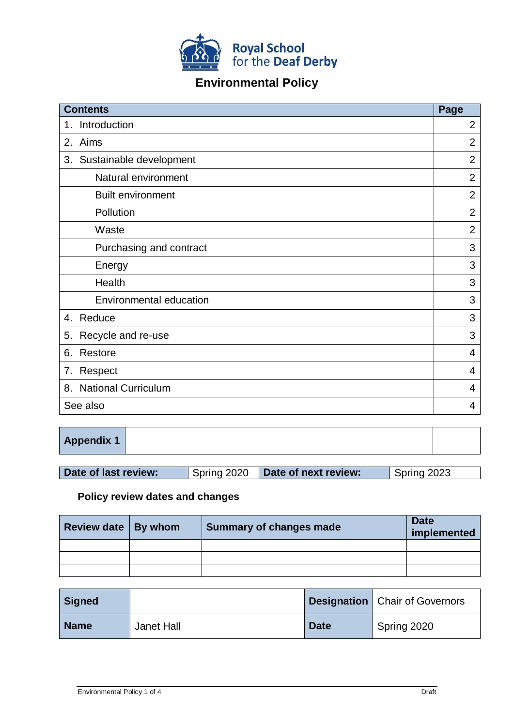

# **Environmental Policy**

| <b>Contents</b>                  | Page           |
|----------------------------------|----------------|
| Introduction<br>1.               | $\overline{2}$ |
| Aims<br>2.                       | $\overline{2}$ |
| 3. Sustainable development       | $\overline{2}$ |
| Natural environment              | $\overline{2}$ |
| <b>Built environment</b>         | $\overline{2}$ |
| Pollution                        | $\overline{2}$ |
| Waste                            | $\overline{2}$ |
| Purchasing and contract          | 3              |
| Energy                           | 3              |
| Health                           | 3              |
| Environmental education          | 3              |
| Reduce<br>4.                     | 3              |
| Recycle and re-use<br>5.         | 3              |
| 6.<br>Restore                    | $\overline{4}$ |
| Respect<br>7.                    | 4              |
| <b>National Curriculum</b><br>8. | 4              |
| See also                         | 4              |

|--|

| Date of last review: |  | Spring 2020 <b>Date of next review:</b> | Spring 2023 |
|----------------------|--|-----------------------------------------|-------------|
|----------------------|--|-----------------------------------------|-------------|

## **Policy review dates and changes**

| Review date   By whom | Summary of changes made | <b>Date</b><br>implemented |
|-----------------------|-------------------------|----------------------------|
|                       |                         |                            |
|                       |                         |                            |
|                       |                         |                            |

| <b>Signed</b> |            |             | <b>Designation</b>   Chair of Governors |
|---------------|------------|-------------|-----------------------------------------|
| <b>Name</b>   | Janet Hall | <b>Date</b> | Spring 2020                             |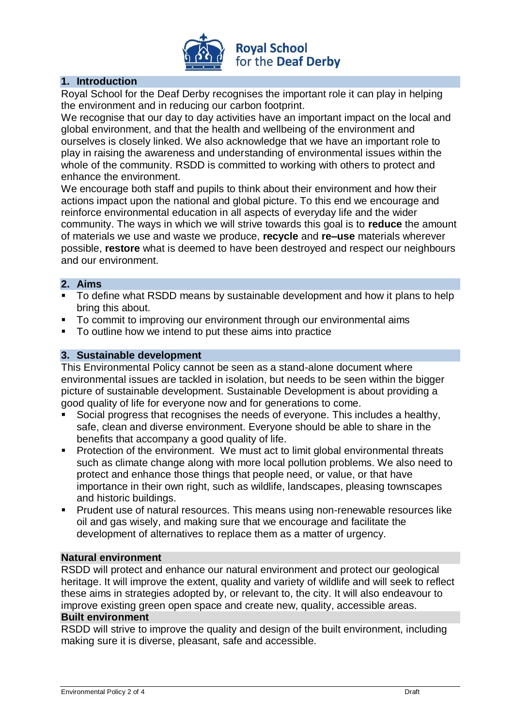

## **1. Introduction**

Royal School for the Deaf Derby recognises the important role it can play in helping the environment and in reducing our carbon footprint.

We recognise that our day to day activities have an important impact on the local and global environment, and that the health and wellbeing of the environment and ourselves is closely linked. We also acknowledge that we have an important role to play in raising the awareness and understanding of environmental issues within the whole of the community. RSDD is committed to working with others to protect and enhance the environment.

We encourage both staff and pupils to think about their environment and how their actions impact upon the national and global picture. To this end we encourage and reinforce environmental education in all aspects of everyday life and the wider community. The ways in which we will strive towards this goal is to **reduce** the amount of materials we use and waste we produce, **recycle** and **re–use** materials wherever possible, **restore** what is deemed to have been destroyed and respect our neighbours and our environment.

## **2. Aims**

- To define what RSDD means by sustainable development and how it plans to help bring this about.
- To commit to improving our environment through our environmental aims
- To outline how we intend to put these aims into practice

## **3. Sustainable development**

This Environmental Policy cannot be seen as a stand-alone document where environmental issues are tackled in isolation, but needs to be seen within the bigger picture of sustainable development. Sustainable Development is about providing a good quality of life for everyone now and for generations to come.

- Social progress that recognises the needs of everyone. This includes a healthy, safe, clean and diverse environment. Everyone should be able to share in the benefits that accompany a good quality of life.
- **Protection of the environment.** We must act to limit global environmental threats such as climate change along with more local pollution problems. We also need to protect and enhance those things that people need, or value, or that have importance in their own right, such as wildlife, landscapes, pleasing townscapes and historic buildings.
- Prudent use of natural resources. This means using non-renewable resources like oil and gas wisely, and making sure that we encourage and facilitate the development of alternatives to replace them as a matter of urgency.

## **Natural environment**

RSDD will protect and enhance our natural environment and protect our geological heritage. It will improve the extent, quality and variety of wildlife and will seek to reflect these aims in strategies adopted by, or relevant to, the city. It will also endeavour to improve existing green open space and create new, quality, accessible areas.

#### **Built environment**

RSDD will strive to improve the quality and design of the built environment, including making sure it is diverse, pleasant, safe and accessible.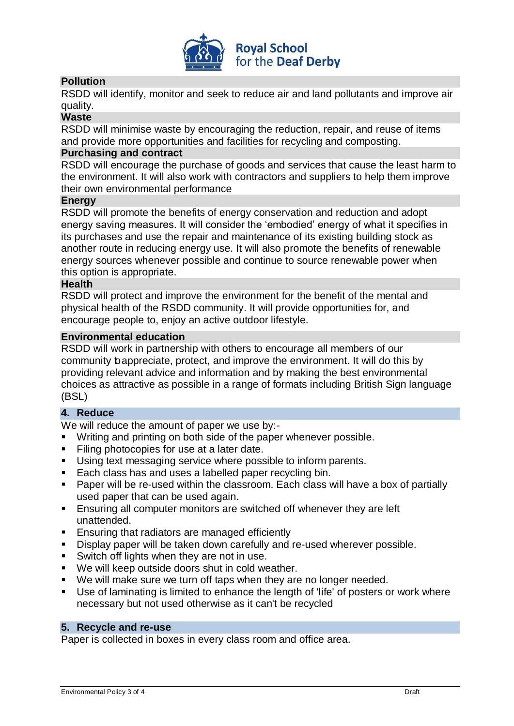

## **Pollution**

RSDD will identify, monitor and seek to reduce air and land pollutants and improve air quality.

#### **Waste**

RSDD will minimise waste by encouraging the reduction, repair, and reuse of items and provide more opportunities and facilities for recycling and composting.

#### **Purchasing and contract**

RSDD will encourage the purchase of goods and services that cause the least harm to the environment. It will also work with contractors and suppliers to help them improve their own environmental performance

#### **Energy**

RSDD will promote the benefits of energy conservation and reduction and adopt energy saving measures. It will consider the 'embodied' energy of what it specifies in its purchases and use the repair and maintenance of its existing building stock as another route in reducing energy use. It will also promote the benefits of renewable energy sources whenever possible and continue to source renewable power when this option is appropriate.

#### **Health**

RSDD will protect and improve the environment for the benefit of the mental and physical health of the RSDD community. It will provide opportunities for, and encourage people to, enjoy an active outdoor lifestyle.

#### **Environmental education**

RSDD will work in partnership with others to encourage all members of our community toappreciate, protect, and improve the environment. It will do this by providing relevant advice and information and by making the best environmental choices as attractive as possible in a range of formats including British Sign language (BSL)

#### **4. Reduce**

We will reduce the amount of paper we use by:-

- Writing and printing on both side of the paper whenever possible.
- Filing photocopies for use at a later date.
- Using text messaging service where possible to inform parents.
- Each class has and uses a labelled paper recycling bin.
- Paper will be re-used within the classroom. Each class will have a box of partially used paper that can be used again.
- Ensuring all computer monitors are switched off whenever they are left unattended.
- **Ensuring that radiators are managed efficiently**
- Display paper will be taken down carefully and re-used wherever possible.
- **Switch off lights when they are not in use.**
- We will keep outside doors shut in cold weather.
- We will make sure we turn off taps when they are no longer needed.
- Use of laminating is limited to enhance the length of 'life' of posters or work where necessary but not used otherwise as it can't be recycled

#### **5. Recycle and re-use**

Paper is collected in boxes in every class room and office area.